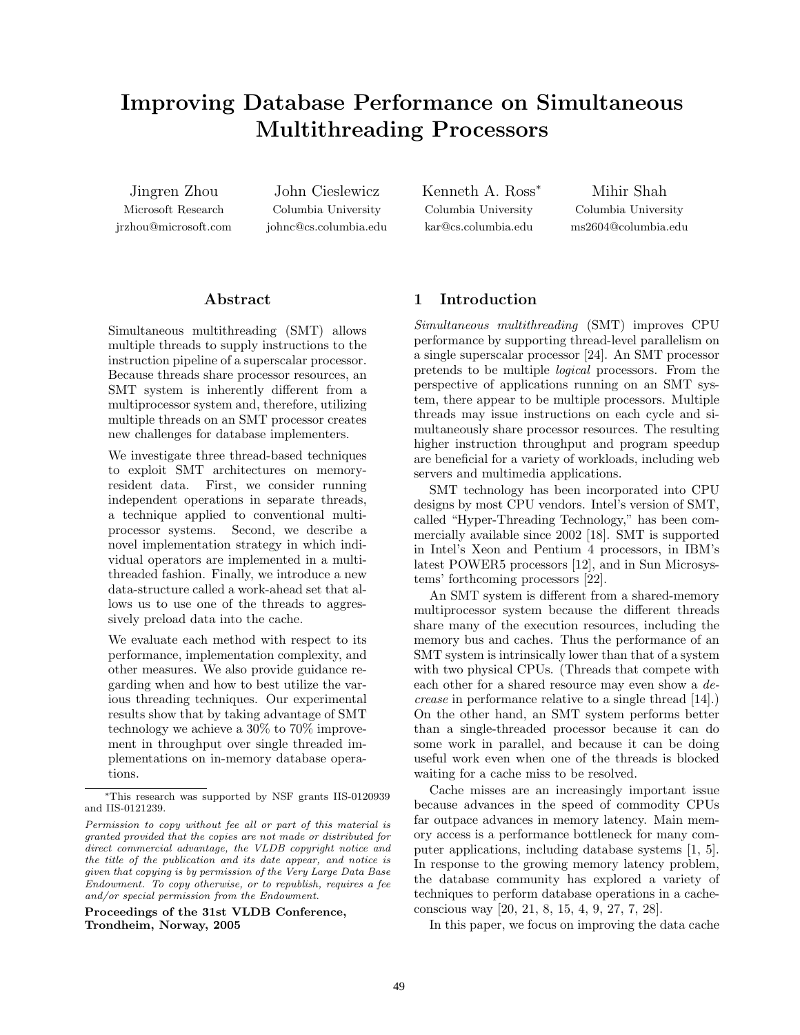# **Improving Database Performance on Simultaneous Multithreading Processors**

Microsoft Research jrzhou@microsoft.com

Columbia University johnc@cs.columbia.edu Kenneth A. Ross<sup>∗</sup> Columbia University kar@cs.columbia.edu

Columbia University ms2604@columbia.edu

# **Abstract**

Simultaneous multithreading (SMT) allows multiple threads to supply instructions to the instruction pipeline of a superscalar processor. Because threads share processor resources, an SMT system is inherently different from a multiprocessor system and, therefore, utilizing multiple threads on an SMT processor creates new challenges for database implementers.

We investigate three thread-based techniques to exploit SMT architectures on memoryresident data. First, we consider running independent operations in separate threads, a technique applied to conventional multiprocessor systems. Second, we describe a novel implementation strategy in which individual operators are implemented in a multithreaded fashion. Finally, we introduce a new data-structure called a work-ahead set that allows us to use one of the threads to aggressively preload data into the cache.

We evaluate each method with respect to its performance, implementation complexity, and other measures. We also provide guidance regarding when and how to best utilize the various threading techniques. Our experimental results show that by taking advantage of SMT technology we achieve a 30% to 70% improvement in throughput over single threaded implementations on in-memory database operations.

**Proceedings of the 31st VLDB Conference, Trondheim, Norway, 2005**

# **1 Introduction**

*Simultaneous multithreading* (SMT) improves CPU performance by supporting thread-level parallelism on a single superscalar processor [24]. An SMT processor pretends to be multiple *logical* processors. From the perspective of applications running on an SMT system, there appear to be multiple processors. Multiple threads may issue instructions on each cycle and simultaneously share processor resources. The resulting higher instruction throughput and program speedup are beneficial for a variety of workloads, including web servers and multimedia applications.

SMT technology has been incorporated into CPU designs by most CPU vendors. Intel's version of SMT, called "Hyper-Threading Technology," has been commercially available since 2002 [18]. SMT is supported in Intel's Xeon and Pentium 4 processors, in IBM's latest POWER5 processors [12], and in Sun Microsystems' forthcoming processors [22].

An SMT system is different from a shared-memory multiprocessor system because the different threads share many of the execution resources, including the memory bus and caches. Thus the performance of an SMT system is intrinsically lower than that of a system with two physical CPUs. (Threads that compete with each other for a shared resource may even show a *decrease* in performance relative to a single thread [14].) On the other hand, an SMT system performs better than a single-threaded processor because it can do some work in parallel, and because it can be doing useful work even when one of the threads is blocked waiting for a cache miss to be resolved.

Cache misses are an increasingly important issue because advances in the speed of commodity CPUs far outpace advances in memory latency. Main memory access is a performance bottleneck for many computer applications, including database systems [1, 5]. In response to the growing memory latency problem, the database community has explored a variety of techniques to perform database operations in a cacheconscious way [20, 21, 8, 15, 4, 9, 27, 7, 28].

In this paper, we focus on improving the data cache

<sup>∗</sup>This research was supported by NSF grants IIS-0120939 and IIS-0121239.

*Permission to copy without fee all or part of this material is granted provided that the copies are not made or distributed for direct commercial advantage, the VLDB copyright notice and the title of the publication and its date appear, and notice is given that copying is by permission of the Very Large Data Base Endowment. To copy otherwise, or to republish, requires a fee and/or special permission from the Endowment.*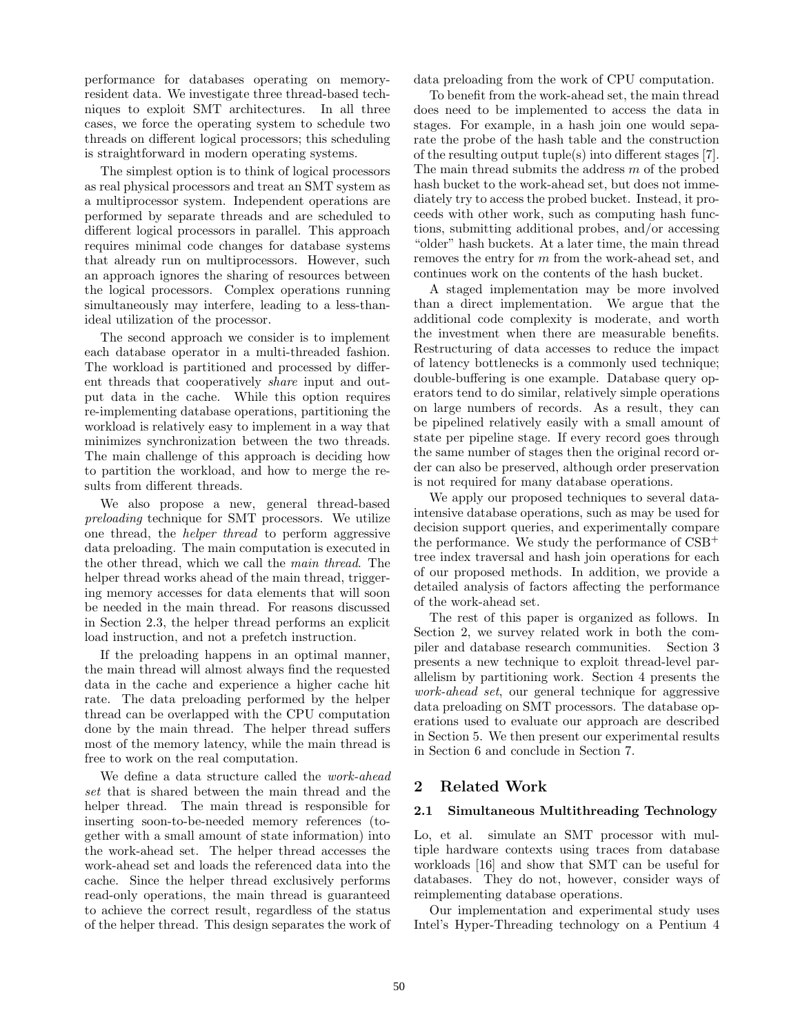performance for databases operating on memoryresident data. We investigate three thread-based techniques to exploit SMT architectures. In all three cases, we force the operating system to schedule two threads on different logical processors; this scheduling is straightforward in modern operating systems.

The simplest option is to think of logical processors as real physical processors and treat an SMT system as a multiprocessor system. Independent operations are performed by separate threads and are scheduled to different logical processors in parallel. This approach requires minimal code changes for database systems that already run on multiprocessors. However, such an approach ignores the sharing of resources between the logical processors. Complex operations running simultaneously may interfere, leading to a less-thanideal utilization of the processor.

The second approach we consider is to implement each database operator in a multi-threaded fashion. The workload is partitioned and processed by different threads that cooperatively *share* input and output data in the cache. While this option requires re-implementing database operations, partitioning the workload is relatively easy to implement in a way that minimizes synchronization between the two threads. The main challenge of this approach is deciding how to partition the workload, and how to merge the results from different threads.

We also propose a new, general thread-based *preloading* technique for SMT processors. We utilize one thread, the *helper thread* to perform aggressive data preloading. The main computation is executed in the other thread, which we call the *main thread*. The helper thread works ahead of the main thread, triggering memory accesses for data elements that will soon be needed in the main thread. For reasons discussed in Section 2.3, the helper thread performs an explicit load instruction, and not a prefetch instruction.

If the preloading happens in an optimal manner, the main thread will almost always find the requested data in the cache and experience a higher cache hit rate. The data preloading performed by the helper thread can be overlapped with the CPU computation done by the main thread. The helper thread suffers most of the memory latency, while the main thread is free to work on the real computation.

We define a data structure called the *work-ahead set* that is shared between the main thread and the helper thread. The main thread is responsible for inserting soon-to-be-needed memory references (together with a small amount of state information) into the work-ahead set. The helper thread accesses the work-ahead set and loads the referenced data into the cache. Since the helper thread exclusively performs read-only operations, the main thread is guaranteed to achieve the correct result, regardless of the status of the helper thread. This design separates the work of data preloading from the work of CPU computation.

To benefit from the work-ahead set, the main thread does need to be implemented to access the data in stages. For example, in a hash join one would separate the probe of the hash table and the construction of the resulting output tuple(s) into different stages [7]. The main thread submits the address *m* of the probed hash bucket to the work-ahead set, but does not immediately try to access the probed bucket. Instead, it proceeds with other work, such as computing hash functions, submitting additional probes, and/or accessing "older" hash buckets. At a later time, the main thread removes the entry for *m* from the work-ahead set, and continues work on the contents of the hash bucket.

A staged implementation may be more involved than a direct implementation. We argue that the additional code complexity is moderate, and worth the investment when there are measurable benefits. Restructuring of data accesses to reduce the impact of latency bottlenecks is a commonly used technique; double-buffering is one example. Database query operators tend to do similar, relatively simple operations on large numbers of records. As a result, they can be pipelined relatively easily with a small amount of state per pipeline stage. If every record goes through the same number of stages then the original record order can also be preserved, although order preservation is not required for many database operations.

We apply our proposed techniques to several dataintensive database operations, such as may be used for decision support queries, and experimentally compare the performance. We study the performance of CSB<sup>+</sup> tree index traversal and hash join operations for each of our proposed methods. In addition, we provide a detailed analysis of factors affecting the performance of the work-ahead set.

The rest of this paper is organized as follows. In Section 2, we survey related work in both the compiler and database research communities. Section 3 presents a new technique to exploit thread-level parallelism by partitioning work. Section 4 presents the *work-ahead set*, our general technique for aggressive data preloading on SMT processors. The database operations used to evaluate our approach are described in Section 5. We then present our experimental results in Section 6 and conclude in Section 7.

# **2 Related Work**

# **2.1 Simultaneous Multithreading Technology**

Lo, et al. simulate an SMT processor with multiple hardware contexts using traces from database workloads [16] and show that SMT can be useful for databases. They do not, however, consider ways of reimplementing database operations.

Our implementation and experimental study uses Intel's Hyper-Threading technology on a Pentium 4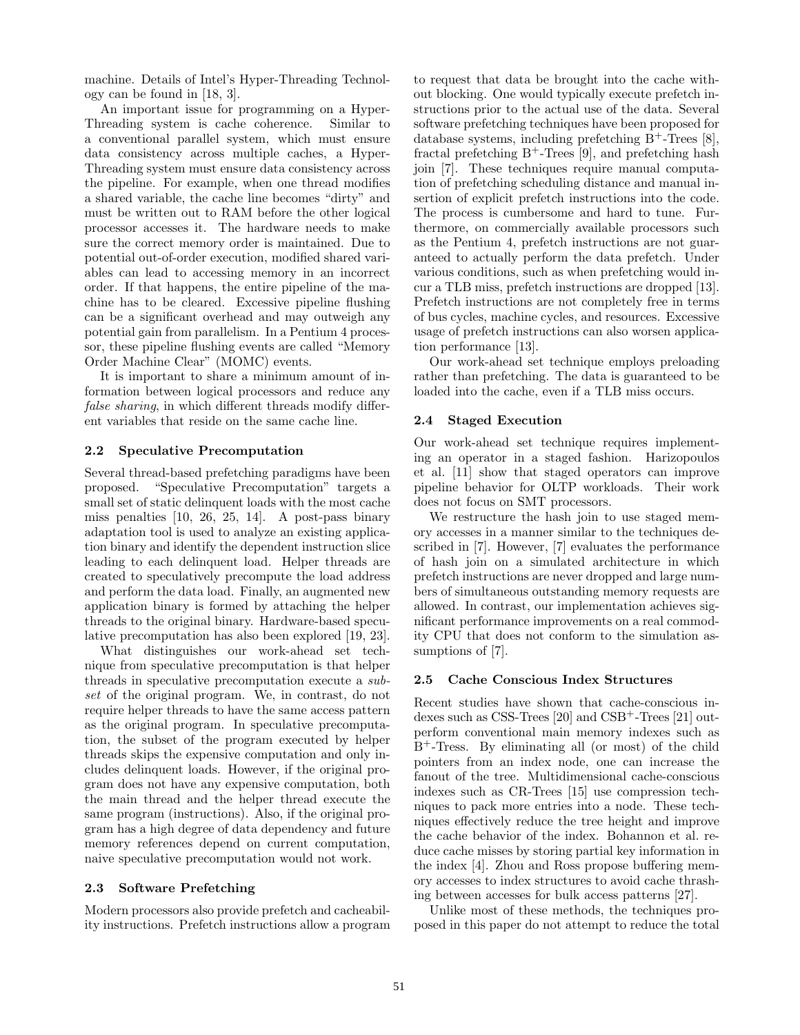machine. Details of Intel's Hyper-Threading Technology can be found in [18, 3].

An important issue for programming on a Hyper-Threading system is cache coherence. Similar to a conventional parallel system, which must ensure data consistency across multiple caches, a Hyper-Threading system must ensure data consistency across the pipeline. For example, when one thread modifies a shared variable, the cache line becomes "dirty" and must be written out to RAM before the other logical processor accesses it. The hardware needs to make sure the correct memory order is maintained. Due to potential out-of-order execution, modified shared variables can lead to accessing memory in an incorrect order. If that happens, the entire pipeline of the machine has to be cleared. Excessive pipeline flushing can be a significant overhead and may outweigh any potential gain from parallelism. In a Pentium 4 processor, these pipeline flushing events are called "Memory Order Machine Clear" (MOMC) events.

It is important to share a minimum amount of information between logical processors and reduce any *false sharing*, in which different threads modify different variables that reside on the same cache line.

#### **2.2 Speculative Precomputation**

Several thread-based prefetching paradigms have been proposed. "Speculative Precomputation" targets a small set of static delinquent loads with the most cache miss penalties [10, 26, 25, 14]. A post-pass binary adaptation tool is used to analyze an existing application binary and identify the dependent instruction slice leading to each delinquent load. Helper threads are created to speculatively precompute the load address and perform the data load. Finally, an augmented new application binary is formed by attaching the helper threads to the original binary. Hardware-based speculative precomputation has also been explored [19, 23].

What distinguishes our work-ahead set technique from speculative precomputation is that helper threads in speculative precomputation execute a *subset* of the original program. We, in contrast, do not require helper threads to have the same access pattern as the original program. In speculative precomputation, the subset of the program executed by helper threads skips the expensive computation and only includes delinquent loads. However, if the original program does not have any expensive computation, both the main thread and the helper thread execute the same program (instructions). Also, if the original program has a high degree of data dependency and future memory references depend on current computation, naive speculative precomputation would not work.

# **2.3 Software Prefetching**

Modern processors also provide prefetch and cacheability instructions. Prefetch instructions allow a program to request that data be brought into the cache without blocking. One would typically execute prefetch instructions prior to the actual use of the data. Several software prefetching techniques have been proposed for database systems, including prefetching  $B^+$ -Trees [8], fractal prefetching  $B^+$ -Trees [9], and prefetching hash join [7]. These techniques require manual computation of prefetching scheduling distance and manual insertion of explicit prefetch instructions into the code. The process is cumbersome and hard to tune. Furthermore, on commercially available processors such as the Pentium 4, prefetch instructions are not guaranteed to actually perform the data prefetch. Under various conditions, such as when prefetching would incur a TLB miss, prefetch instructions are dropped [13]. Prefetch instructions are not completely free in terms of bus cycles, machine cycles, and resources. Excessive usage of prefetch instructions can also worsen application performance [13].

Our work-ahead set technique employs preloading rather than prefetching. The data is guaranteed to be loaded into the cache, even if a TLB miss occurs.

#### **2.4 Staged Execution**

Our work-ahead set technique requires implementing an operator in a staged fashion. Harizopoulos et al. [11] show that staged operators can improve pipeline behavior for OLTP workloads. Their work does not focus on SMT processors.

We restructure the hash join to use staged memory accesses in a manner similar to the techniques described in [7]. However, [7] evaluates the performance of hash join on a simulated architecture in which prefetch instructions are never dropped and large numbers of simultaneous outstanding memory requests are allowed. In contrast, our implementation achieves significant performance improvements on a real commodity CPU that does not conform to the simulation assumptions of  $|7|$ .

#### **2.5 Cache Conscious Index Structures**

Recent studies have shown that cache-conscious indexes such as CSS-Trees  $[20]$  and CSB<sup>+</sup>-Trees  $[21]$  outperform conventional main memory indexes such as B<sup>+</sup>-Tress. By eliminating all (or most) of the child pointers from an index node, one can increase the fanout of the tree. Multidimensional cache-conscious indexes such as CR-Trees [15] use compression techniques to pack more entries into a node. These techniques effectively reduce the tree height and improve the cache behavior of the index. Bohannon et al. reduce cache misses by storing partial key information in the index [4]. Zhou and Ross propose buffering memory accesses to index structures to avoid cache thrashing between accesses for bulk access patterns [27].

Unlike most of these methods, the techniques proposed in this paper do not attempt to reduce the total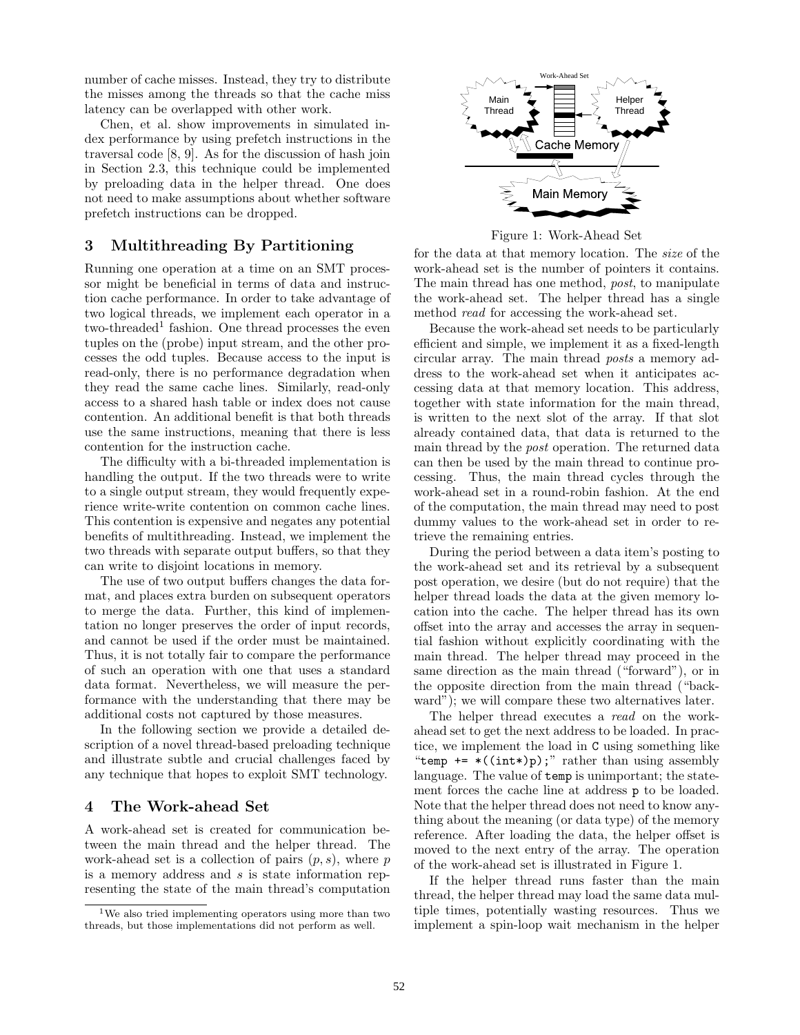number of cache misses. Instead, they try to distribute the misses among the threads so that the cache miss latency can be overlapped with other work.

Chen, et al. show improvements in simulated index performance by using prefetch instructions in the traversal code [8, 9]. As for the discussion of hash join in Section 2.3, this technique could be implemented by preloading data in the helper thread. One does not need to make assumptions about whether software prefetch instructions can be dropped.

# **3 Multithreading By Partitioning**

Running one operation at a time on an SMT processor might be beneficial in terms of data and instruction cache performance. In order to take advantage of two logical threads, we implement each operator in a two-threaded<sup>1</sup> fashion. One thread processes the even tuples on the (probe) input stream, and the other processes the odd tuples. Because access to the input is read-only, there is no performance degradation when they read the same cache lines. Similarly, read-only access to a shared hash table or index does not cause contention. An additional benefit is that both threads use the same instructions, meaning that there is less contention for the instruction cache.

The difficulty with a bi-threaded implementation is handling the output. If the two threads were to write to a single output stream, they would frequently experience write-write contention on common cache lines. This contention is expensive and negates any potential benefits of multithreading. Instead, we implement the two threads with separate output buffers, so that they can write to disjoint locations in memory.

The use of two output buffers changes the data format, and places extra burden on subsequent operators to merge the data. Further, this kind of implementation no longer preserves the order of input records, and cannot be used if the order must be maintained. Thus, it is not totally fair to compare the performance of such an operation with one that uses a standard data format. Nevertheless, we will measure the performance with the understanding that there may be additional costs not captured by those measures.

In the following section we provide a detailed description of a novel thread-based preloading technique and illustrate subtle and crucial challenges faced by any technique that hopes to exploit SMT technology.

# **4 The Work-ahead Set**

A work-ahead set is created for communication between the main thread and the helper thread. The work-ahead set is a collection of pairs (*p, s*), where *p* is a memory address and *s* is state information representing the state of the main thread's computation



Figure 1: Work-Ahead Set

for the data at that memory location. The *size* of the work-ahead set is the number of pointers it contains. The main thread has one method, *post*, to manipulate the work-ahead set. The helper thread has a single method *read* for accessing the work-ahead set.

Because the work-ahead set needs to be particularly efficient and simple, we implement it as a fixed-length circular array. The main thread *posts* a memory address to the work-ahead set when it anticipates accessing data at that memory location. This address, together with state information for the main thread, is written to the next slot of the array. If that slot already contained data, that data is returned to the main thread by the *post* operation. The returned data can then be used by the main thread to continue processing. Thus, the main thread cycles through the work-ahead set in a round-robin fashion. At the end of the computation, the main thread may need to post dummy values to the work-ahead set in order to retrieve the remaining entries.

During the period between a data item's posting to the work-ahead set and its retrieval by a subsequent post operation, we desire (but do not require) that the helper thread loads the data at the given memory location into the cache. The helper thread has its own offset into the array and accesses the array in sequential fashion without explicitly coordinating with the main thread. The helper thread may proceed in the same direction as the main thread ("forward"), or in the opposite direction from the main thread ("backward"); we will compare these two alternatives later.

The helper thread executes a *read* on the workahead set to get the next address to be loaded. In practice, we implement the load in C using something like "temp  $+=$  \*((int\*)p);" rather than using assembly language. The value of temp is unimportant; the statement forces the cache line at address p to be loaded. Note that the helper thread does not need to know anything about the meaning (or data type) of the memory reference. After loading the data, the helper offset is moved to the next entry of the array. The operation of the work-ahead set is illustrated in Figure 1.

If the helper thread runs faster than the main thread, the helper thread may load the same data multiple times, potentially wasting resources. Thus we implement a spin-loop wait mechanism in the helper

<sup>1</sup>We also tried implementing operators using more than two threads, but those implementations did not perform as well.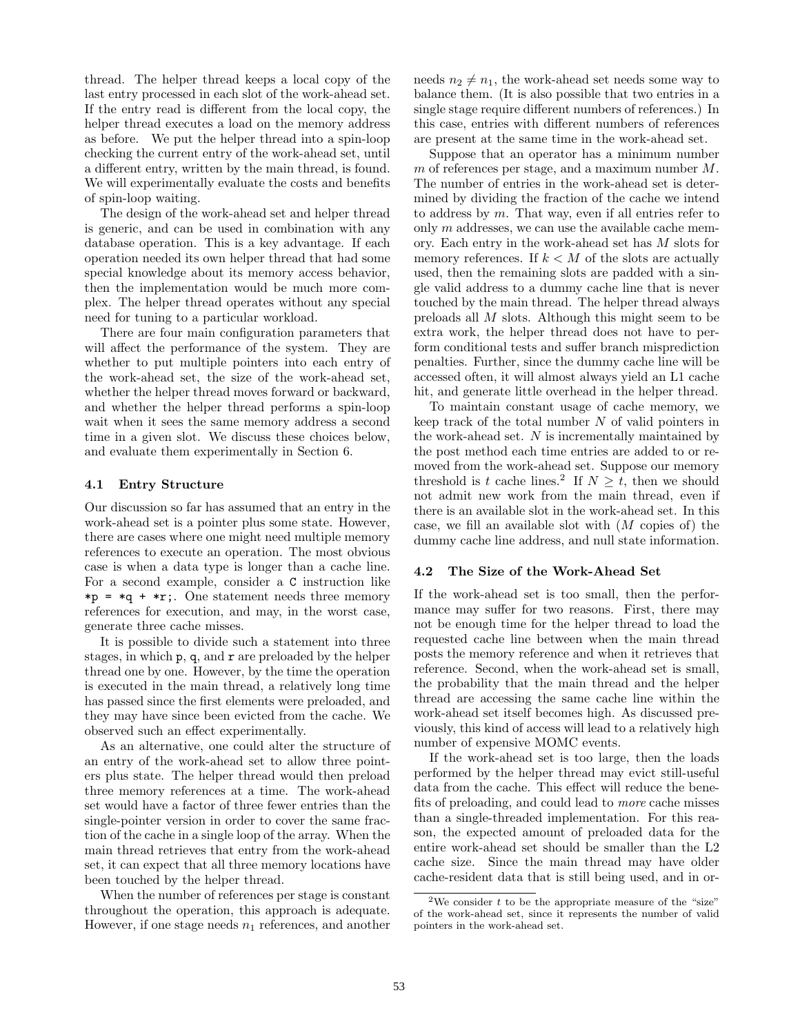thread. The helper thread keeps a local copy of the last entry processed in each slot of the work-ahead set. If the entry read is different from the local copy, the helper thread executes a load on the memory address as before. We put the helper thread into a spin-loop checking the current entry of the work-ahead set, until a different entry, written by the main thread, is found. We will experimentally evaluate the costs and benefits of spin-loop waiting.

The design of the work-ahead set and helper thread is generic, and can be used in combination with any database operation. This is a key advantage. If each operation needed its own helper thread that had some special knowledge about its memory access behavior, then the implementation would be much more complex. The helper thread operates without any special need for tuning to a particular workload.

There are four main configuration parameters that will affect the performance of the system. They are whether to put multiple pointers into each entry of the work-ahead set, the size of the work-ahead set, whether the helper thread moves forward or backward, and whether the helper thread performs a spin-loop wait when it sees the same memory address a second time in a given slot. We discuss these choices below, and evaluate them experimentally in Section 6.

#### **4.1 Entry Structure**

Our discussion so far has assumed that an entry in the work-ahead set is a pointer plus some state. However, there are cases where one might need multiple memory references to execute an operation. The most obvious case is when a data type is longer than a cache line. For a second example, consider a C instruction like  $*p = *q + *r;$ . One statement needs three memory references for execution, and may, in the worst case, generate three cache misses.

It is possible to divide such a statement into three stages, in which  $p$ , q, and  $r$  are preloaded by the helper thread one by one. However, by the time the operation is executed in the main thread, a relatively long time has passed since the first elements were preloaded, and they may have since been evicted from the cache. We observed such an effect experimentally.

As an alternative, one could alter the structure of an entry of the work-ahead set to allow three pointers plus state. The helper thread would then preload three memory references at a time. The work-ahead set would have a factor of three fewer entries than the single-pointer version in order to cover the same fraction of the cache in a single loop of the array. When the main thread retrieves that entry from the work-ahead set, it can expect that all three memory locations have been touched by the helper thread.

When the number of references per stage is constant throughout the operation, this approach is adequate. However, if one stage needs  $n_1$  references, and another needs  $n_2 \neq n_1$ , the work-ahead set needs some way to balance them. (It is also possible that two entries in a single stage require different numbers of references.) In this case, entries with different numbers of references are present at the same time in the work-ahead set.

Suppose that an operator has a minimum number *m* of references per stage, and a maximum number *M*. The number of entries in the work-ahead set is determined by dividing the fraction of the cache we intend to address by *m*. That way, even if all entries refer to only *m* addresses, we can use the available cache memory. Each entry in the work-ahead set has *M* slots for memory references. If  $k < M$  of the slots are actually used, then the remaining slots are padded with a single valid address to a dummy cache line that is never touched by the main thread. The helper thread always preloads all *M* slots. Although this might seem to be extra work, the helper thread does not have to perform conditional tests and suffer branch misprediction penalties. Further, since the dummy cache line will be accessed often, it will almost always yield an L1 cache hit, and generate little overhead in the helper thread.

To maintain constant usage of cache memory, we keep track of the total number *N* of valid pointers in the work-ahead set. *N* is incrementally maintained by the post method each time entries are added to or removed from the work-ahead set. Suppose our memory threshold is *t* cache lines.<sup>2</sup> If  $N \geq t$ , then we should not admit new work from the main thread, even if there is an available slot in the work-ahead set. In this case, we fill an available slot with (*M* copies of) the dummy cache line address, and null state information.

#### **4.2 The Size of the Work-Ahead Set**

If the work-ahead set is too small, then the performance may suffer for two reasons. First, there may not be enough time for the helper thread to load the requested cache line between when the main thread posts the memory reference and when it retrieves that reference. Second, when the work-ahead set is small, the probability that the main thread and the helper thread are accessing the same cache line within the work-ahead set itself becomes high. As discussed previously, this kind of access will lead to a relatively high number of expensive MOMC events.

If the work-ahead set is too large, then the loads performed by the helper thread may evict still-useful data from the cache. This effect will reduce the benefits of preloading, and could lead to *more* cache misses than a single-threaded implementation. For this reason, the expected amount of preloaded data for the entire work-ahead set should be smaller than the L2 cache size. Since the main thread may have older cache-resident data that is still being used, and in or-

<sup>&</sup>lt;sup>2</sup>We consider  $t$  to be the appropriate measure of the "size" of the work-ahead set, since it represents the number of valid pointers in the work-ahead set.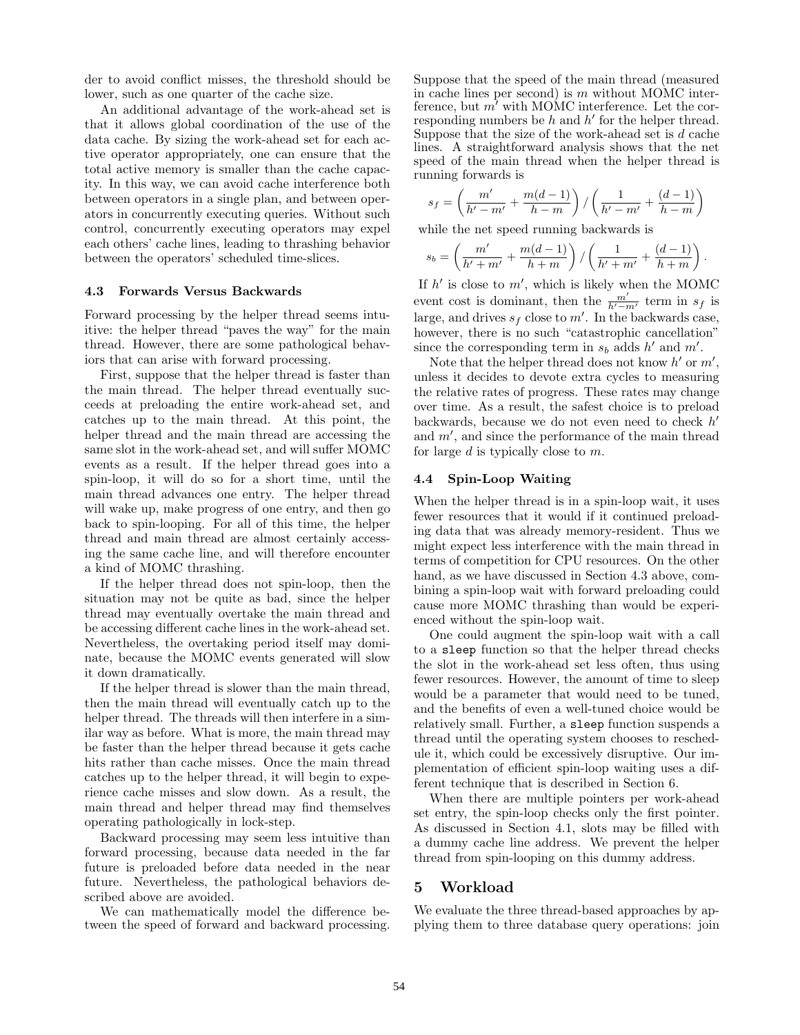der to avoid conflict misses, the threshold should be lower, such as one quarter of the cache size.

An additional advantage of the work-ahead set is that it allows global coordination of the use of the data cache. By sizing the work-ahead set for each active operator appropriately, one can ensure that the total active memory is smaller than the cache capacity. In this way, we can avoid cache interference both between operators in a single plan, and between operators in concurrently executing queries. Without such control, concurrently executing operators may expel each others' cache lines, leading to thrashing behavior between the operators' scheduled time-slices.

#### **4.3 Forwards Versus Backwards**

Forward processing by the helper thread seems intuitive: the helper thread "paves the way" for the main thread. However, there are some pathological behaviors that can arise with forward processing.

First, suppose that the helper thread is faster than the main thread. The helper thread eventually succeeds at preloading the entire work-ahead set, and catches up to the main thread. At this point, the helper thread and the main thread are accessing the same slot in the work-ahead set, and will suffer MOMC events as a result. If the helper thread goes into a spin-loop, it will do so for a short time, until the main thread advances one entry. The helper thread will wake up, make progress of one entry, and then go back to spin-looping. For all of this time, the helper thread and main thread are almost certainly accessing the same cache line, and will therefore encounter a kind of MOMC thrashing.

If the helper thread does not spin-loop, then the situation may not be quite as bad, since the helper thread may eventually overtake the main thread and be accessing different cache lines in the work-ahead set. Nevertheless, the overtaking period itself may dominate, because the MOMC events generated will slow it down dramatically.

If the helper thread is slower than the main thread, then the main thread will eventually catch up to the helper thread. The threads will then interfere in a similar way as before. What is more, the main thread may be faster than the helper thread because it gets cache hits rather than cache misses. Once the main thread catches up to the helper thread, it will begin to experience cache misses and slow down. As a result, the main thread and helper thread may find themselves operating pathologically in lock-step.

Backward processing may seem less intuitive than forward processing, because data needed in the far future is preloaded before data needed in the near future. Nevertheless, the pathological behaviors described above are avoided.

We can mathematically model the difference between the speed of forward and backward processing. Suppose that the speed of the main thread (measured in cache lines per second) is *m* without MOMC interference, but  $m'$  with MOMC interference. Let the corresponding numbers be  $h$  and  $h'$  for the helper thread. Suppose that the size of the work-ahead set is *d* cache lines. A straightforward analysis shows that the net speed of the main thread when the helper thread is running forwards is

$$
s_f = \left(\frac{m'}{h'-m'} + \frac{m(d-1)}{h-m}\right) / \left(\frac{1}{h'-m'} + \frac{(d-1)}{h-m}\right)
$$

while the net speed running backwards is

$$
s_b = \left(\frac{m'}{h' + m'} + \frac{m(d-1)}{h+m}\right) / \left(\frac{1}{h' + m'} + \frac{(d-1)}{h+m}\right).
$$

If  $h'$  is close to  $m'$ , which is likely when the MOMC event cost is dominant, then the  $\frac{m'}{h'-m'}$  term in  $s_f$  is large, and drives  $s_f$  close to  $m'$ . In the backwards case, however, there is no such "catastrophic cancellation" since the corresponding term in  $s_b$  adds  $h'$  and  $m'$ .

Note that the helper thread does not know  $h'$  or  $m'$ , unless it decides to devote extra cycles to measuring the relative rates of progress. These rates may change over time. As a result, the safest choice is to preload backwards, because we do not even need to check *h* and  $m'$ , and since the performance of the main thread for large *d* is typically close to *m*.

#### **4.4 Spin-Loop Waiting**

When the helper thread is in a spin-loop wait, it uses fewer resources that it would if it continued preloading data that was already memory-resident. Thus we might expect less interference with the main thread in terms of competition for CPU resources. On the other hand, as we have discussed in Section 4.3 above, combining a spin-loop wait with forward preloading could cause more MOMC thrashing than would be experienced without the spin-loop wait.

One could augment the spin-loop wait with a call to a sleep function so that the helper thread checks the slot in the work-ahead set less often, thus using fewer resources. However, the amount of time to sleep would be a parameter that would need to be tuned, and the benefits of even a well-tuned choice would be relatively small. Further, a sleep function suspends a thread until the operating system chooses to reschedule it, which could be excessively disruptive. Our implementation of efficient spin-loop waiting uses a different technique that is described in Section 6.

When there are multiple pointers per work-ahead set entry, the spin-loop checks only the first pointer. As discussed in Section 4.1, slots may be filled with a dummy cache line address. We prevent the helper thread from spin-looping on this dummy address.

# **5 Workload**

We evaluate the three thread-based approaches by applying them to three database query operations: join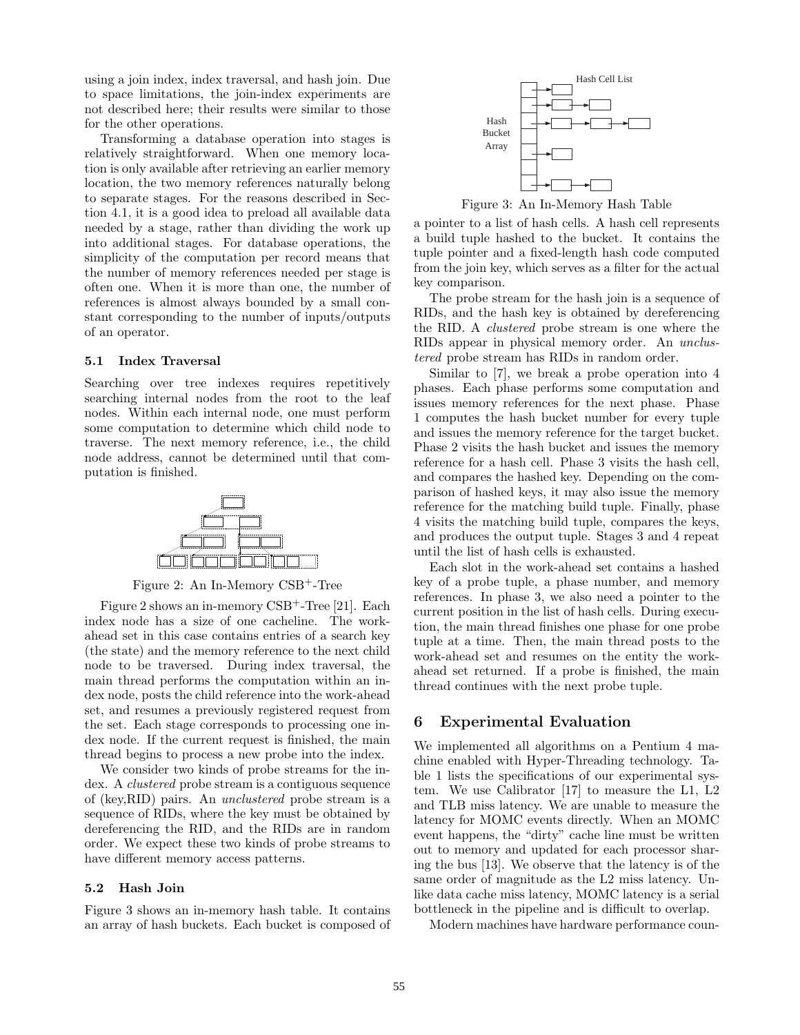using a join index, index traversal, and hash join. Due to space limitations, the join-index experiments are not described here; their results were similar to those for the other operations.

Transforming a database operation into stages is relatively straightforward. When one memory location is only available after retrieving an earlier memory location, the two memory references naturally belong to separate stages. For the reasons described in Section 4.1, it is a good idea to preload all available data needed by a stage, rather than dividing the work up into additional stages. For database operations, the simplicity of the computation per record means that the number of memory references needed per stage is often one. When it is more than one, the number of references is almost always bounded by a small constant corresponding to the number of inputs/outputs of an operator.

#### **5.1 Index Traversal**

Searching over tree indexes requires repetitively searching internal nodes from the root to the leaf nodes. Within each internal node, one must perform some computation to determine which child node to traverse. The next memory reference, i.e., the child node address, cannot be determined until that computation is finished.



Figure 2: An In-Memory CSB<sup>+</sup>-Tree

Figure 2 shows an in-memory  $CSB<sup>+</sup>$ -Tree [21]. Each index node has a size of one cacheline. The workahead set in this case contains entries of a search key (the state) and the memory reference to the next child node to be traversed. During index traversal, the main thread performs the computation within an index node, posts the child reference into the work-ahead set, and resumes a previously registered request from the set. Each stage corresponds to processing one index node. If the current request is finished, the main thread begins to process a new probe into the index.

We consider two kinds of probe streams for the index. A *clustered* probe stream is a contiguous sequence of (key,RID) pairs. An *unclustered* probe stream is a sequence of RIDs, where the key must be obtained by dereferencing the RID, and the RIDs are in random order. We expect these two kinds of probe streams to have different memory access patterns.

#### **5.2 Hash Join**

Figure 3 shows an in-memory hash table. It contains an array of hash buckets. Each bucket is composed of



Figure 3: An In-Memory Hash Table

a pointer to a list of hash cells. A hash cell represents a build tuple hashed to the bucket. It contains the tuple pointer and a fixed-length hash code computed from the join key, which serves as a filter for the actual key comparison.

The probe stream for the hash join is a sequence of RIDs, and the hash key is obtained by dereferencing the RID. A *clustered* probe stream is one where the RIDs appear in physical memory order. An *unclustered* probe stream has RIDs in random order.

Similar to [7], we break a probe operation into 4 phases. Each phase performs some computation and issues memory references for the next phase. Phase 1 computes the hash bucket number for every tuple and issues the memory reference for the target bucket. Phase 2 visits the hash bucket and issues the memory reference for a hash cell. Phase 3 visits the hash cell, and compares the hashed key. Depending on the comparison of hashed keys, it may also issue the memory reference for the matching build tuple. Finally, phase 4 visits the matching build tuple, compares the keys, and produces the output tuple. Stages 3 and 4 repeat until the list of hash cells is exhausted.

Each slot in the work-ahead set contains a hashed key of a probe tuple, a phase number, and memory references. In phase 3, we also need a pointer to the current position in the list of hash cells. During execution, the main thread finishes one phase for one probe tuple at a time. Then, the main thread posts to the work-ahead set and resumes on the entity the workahead set returned. If a probe is finished, the main thread continues with the next probe tuple.

# **6 Experimental Evaluation**

We implemented all algorithms on a Pentium 4 machine enabled with Hyper-Threading technology. Table 1 lists the specifications of our experimental system. We use Calibrator [17] to measure the L1, L2 and TLB miss latency. We are unable to measure the latency for MOMC events directly. When an MOMC event happens, the "dirty" cache line must be written out to memory and updated for each processor sharing the bus [13]. We observe that the latency is of the same order of magnitude as the L2 miss latency. Unlike data cache miss latency, MOMC latency is a serial bottleneck in the pipeline and is difficult to overlap.

Modern machines have hardware performance coun-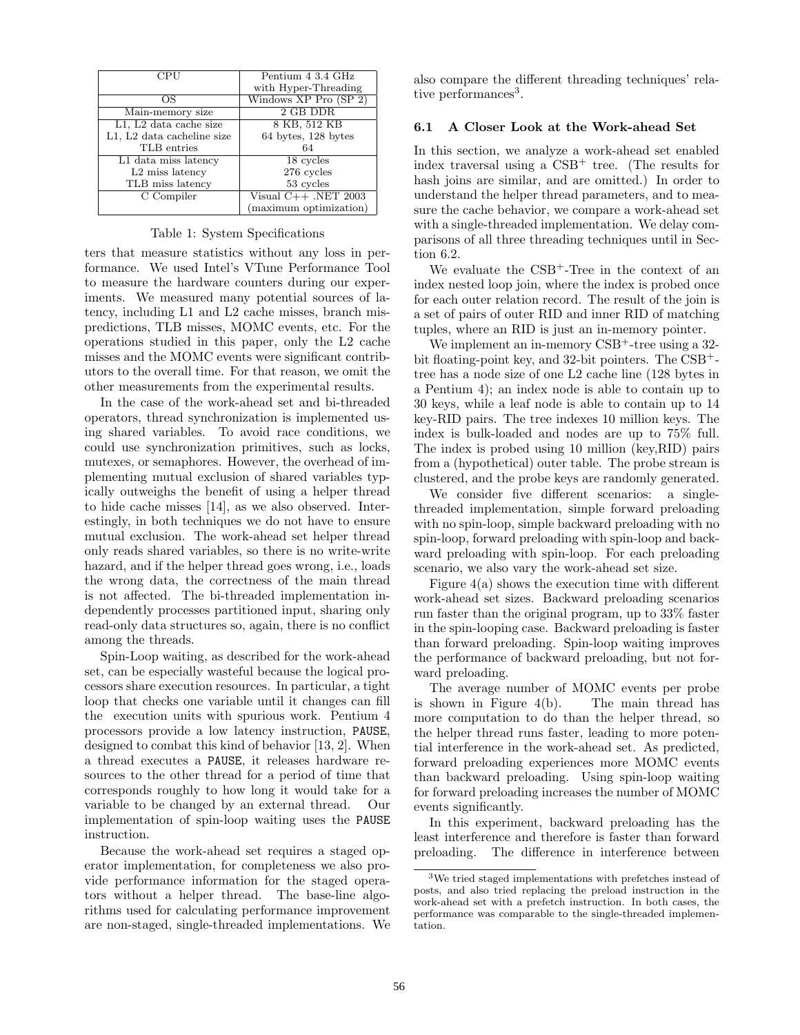|                             | Pentium 4 3.4 GHz         |
|-----------------------------|---------------------------|
|                             | with Hyper-Threading      |
| ОS                          | Windows $XP$ Pro $(SP_2)$ |
| Main-memory size            | 2 GB DDR                  |
| L1, L2 data cache size      | 8 KB, 512 KB              |
| L1, L2 data cacheline size  | 64 bytes, 128 bytes       |
| TLB entries                 | 64                        |
| L1 data miss latency        | 18 cycles                 |
| L <sub>2</sub> miss latency | 276 cycles                |
| TLB miss latency            | 53 cycles                 |
| C Compiler                  | Visual $C++$ .NET 2003    |
|                             | (maximum optimization)    |

#### Table 1: System Specifications

ters that measure statistics without any loss in performance. We used Intel's VTune Performance Tool to measure the hardware counters during our experiments. We measured many potential sources of latency, including L1 and L2 cache misses, branch mispredictions, TLB misses, MOMC events, etc. For the operations studied in this paper, only the L2 cache misses and the MOMC events were significant contributors to the overall time. For that reason, we omit the other measurements from the experimental results.

In the case of the work-ahead set and bi-threaded operators, thread synchronization is implemented using shared variables. To avoid race conditions, we could use synchronization primitives, such as locks, mutexes, or semaphores. However, the overhead of implementing mutual exclusion of shared variables typically outweighs the benefit of using a helper thread to hide cache misses [14], as we also observed. Interestingly, in both techniques we do not have to ensure mutual exclusion. The work-ahead set helper thread only reads shared variables, so there is no write-write hazard, and if the helper thread goes wrong, i.e., loads the wrong data, the correctness of the main thread is not affected. The bi-threaded implementation independently processes partitioned input, sharing only read-only data structures so, again, there is no conflict among the threads.

Spin-Loop waiting, as described for the work-ahead set, can be especially wasteful because the logical processors share execution resources. In particular, a tight loop that checks one variable until it changes can fill the execution units with spurious work. Pentium 4 processors provide a low latency instruction, PAUSE, designed to combat this kind of behavior [13, 2]. When a thread executes a PAUSE, it releases hardware resources to the other thread for a period of time that corresponds roughly to how long it would take for a variable to be changed by an external thread. Our implementation of spin-loop waiting uses the PAUSE instruction.

Because the work-ahead set requires a staged operator implementation, for completeness we also provide performance information for the staged operators without a helper thread. The base-line algorithms used for calculating performance improvement are non-staged, single-threaded implementations. We also compare the different threading techniques' relative performances<sup>3</sup>.

### **6.1 A Closer Look at the Work-ahead Set**

In this section, we analyze a work-ahead set enabled index traversal using a  $CSB<sup>+</sup>$  tree. (The results for hash joins are similar, and are omitted.) In order to understand the helper thread parameters, and to measure the cache behavior, we compare a work-ahead set with a single-threaded implementation. We delay comparisons of all three threading techniques until in Section 6.2.

We evaluate the CSB+-Tree in the context of an index nested loop join, where the index is probed once for each outer relation record. The result of the join is a set of pairs of outer RID and inner RID of matching tuples, where an RID is just an in-memory pointer.

We implement an in-memory CSB<sup>+</sup>-tree using a 32bit floating-point key, and 32-bit pointers. The CSB<sup>+</sup> tree has a node size of one L2 cache line (128 bytes in a Pentium 4); an index node is able to contain up to 30 keys, while a leaf node is able to contain up to 14 key-RID pairs. The tree indexes 10 million keys. The index is bulk-loaded and nodes are up to 75% full. The index is probed using 10 million (key,RID) pairs from a (hypothetical) outer table. The probe stream is clustered, and the probe keys are randomly generated.

We consider five different scenarios: a singlethreaded implementation, simple forward preloading with no spin-loop, simple backward preloading with no spin-loop, forward preloading with spin-loop and backward preloading with spin-loop. For each preloading scenario, we also vary the work-ahead set size.

Figure 4(a) shows the execution time with different work-ahead set sizes. Backward preloading scenarios run faster than the original program, up to 33% faster in the spin-looping case. Backward preloading is faster than forward preloading. Spin-loop waiting improves the performance of backward preloading, but not forward preloading.

The average number of MOMC events per probe is shown in Figure 4(b). The main thread has more computation to do than the helper thread, so the helper thread runs faster, leading to more potential interference in the work-ahead set. As predicted, forward preloading experiences more MOMC events than backward preloading. Using spin-loop waiting for forward preloading increases the number of MOMC events significantly.

In this experiment, backward preloading has the least interference and therefore is faster than forward preloading. The difference in interference between

<sup>3</sup>We tried staged implementations with prefetches instead of posts, and also tried replacing the preload instruction in the work-ahead set with a prefetch instruction. In both cases, the performance was comparable to the single-threaded implementation.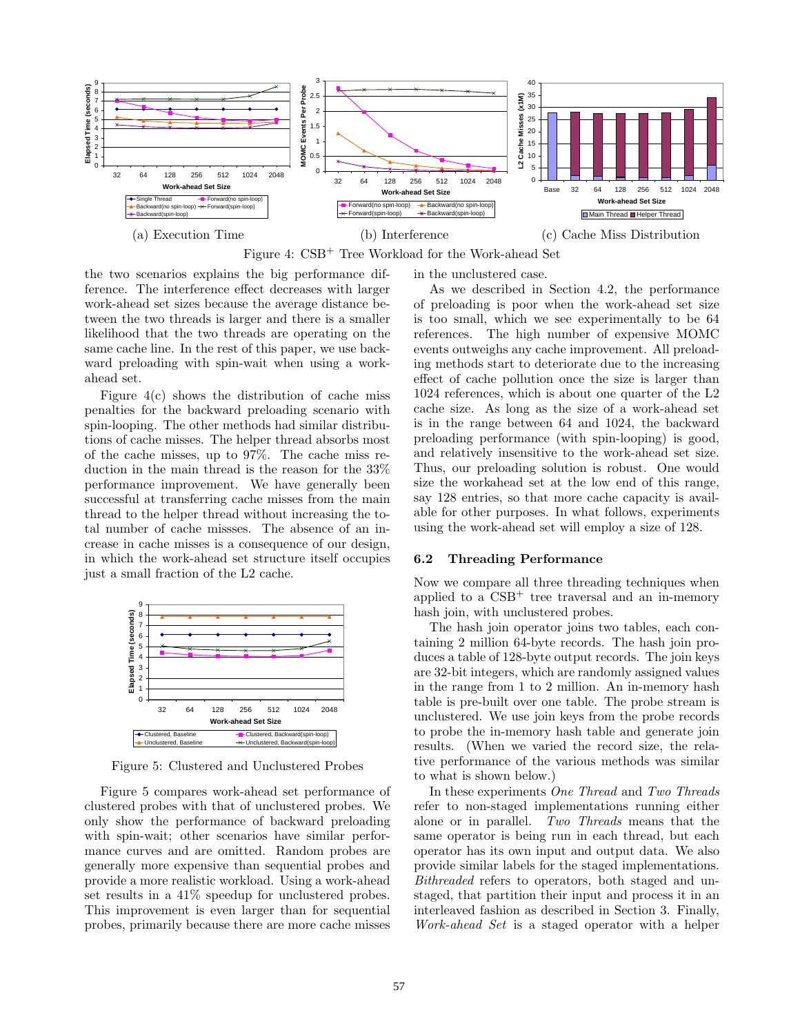

Figure 4: CSB<sup>+</sup> Tree Workload for the Work-ahead Set

the two scenarios explains the big performance difference. The interference effect decreases with larger work-ahead set sizes because the average distance between the two threads is larger and there is a smaller likelihood that the two threads are operating on the same cache line. In the rest of this paper, we use backward preloading with spin-wait when using a workahead set.

Figure 4(c) shows the distribution of cache miss penalties for the backward preloading scenario with spin-looping. The other methods had similar distributions of cache misses. The helper thread absorbs most of the cache misses, up to 97%. The cache miss reduction in the main thread is the reason for the 33% performance improvement. We have generally been successful at transferring cache misses from the main thread to the helper thread without increasing the total number of cache missses. The absence of an increase in cache misses is a consequence of our design, in which the work-ahead set structure itself occupies just a small fraction of the L2 cache.



Figure 5: Clustered and Unclustered Probes

Figure 5 compares work-ahead set performance of clustered probes with that of unclustered probes. We only show the performance of backward preloading with spin-wait; other scenarios have similar performance curves and are omitted. Random probes are generally more expensive than sequential probes and provide a more realistic workload. Using a work-ahead set results in a 41% speedup for unclustered probes. This improvement is even larger than for sequential probes, primarily because there are more cache misses in the unclustered case.

As we described in Section 4.2, the performance of preloading is poor when the work-ahead set size is too small, which we see experimentally to be 64 references. The high number of expensive MOMC events outweighs any cache improvement. All preloading methods start to deteriorate due to the increasing effect of cache pollution once the size is larger than 1024 references, which is about one quarter of the L2 cache size. As long as the size of a work-ahead set is in the range between 64 and 1024, the backward preloading performance (with spin-looping) is good, and relatively insensitive to the work-ahead set size. Thus, our preloading solution is robust. One would size the workahead set at the low end of this range, say 128 entries, so that more cache capacity is available for other purposes. In what follows, experiments using the work-ahead set will employ a size of 128.

#### **6.2 Threading Performance**

Now we compare all three threading techniques when applied to a  $\text{CSB}^+$  tree traversal and an in-memory hash join, with unclustered probes.

The hash join operator joins two tables, each containing 2 million 64-byte records. The hash join produces a table of 128-byte output records. The join keys are 32-bit integers, which are randomly assigned values in the range from 1 to 2 million. An in-memory hash table is pre-built over one table. The probe stream is unclustered. We use join keys from the probe records to probe the in-memory hash table and generate join results. (When we varied the record size, the relative performance of the various methods was similar to what is shown below.)

In these experiments *One Thread* and *Two Threads* refer to non-staged implementations running either alone or in parallel. *Two Threads* means that the same operator is being run in each thread, but each operator has its own input and output data. We also provide similar labels for the staged implementations. *Bithreaded* refers to operators, both staged and unstaged, that partition their input and process it in an interleaved fashion as described in Section 3. Finally, *Work-ahead Set* is a staged operator with a helper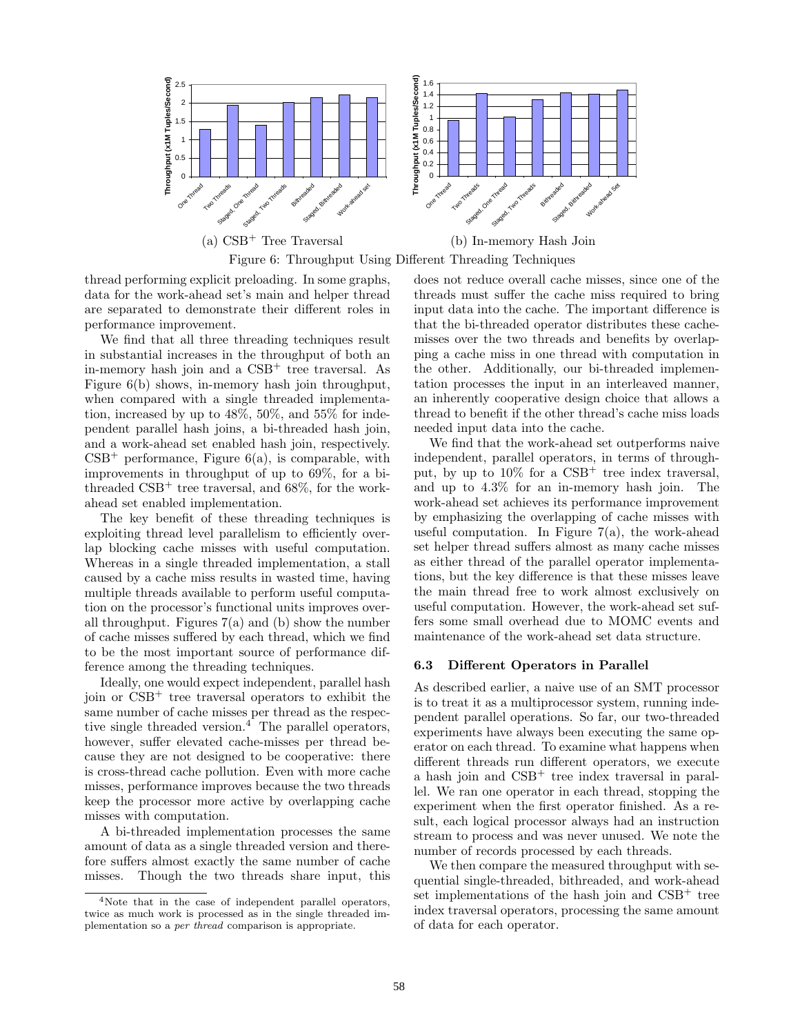

thread performing explicit preloading. In some graphs, data for the work-ahead set's main and helper thread are separated to demonstrate their different roles in performance improvement.

We find that all three threading techniques result in substantial increases in the throughput of both an in-memory hash join and a  $CSB<sup>+</sup>$  tree traversal. As Figure 6(b) shows, in-memory hash join throughput, when compared with a single threaded implementation, increased by up to 48%, 50%, and 55% for independent parallel hash joins, a bi-threaded hash join, and a work-ahead set enabled hash join, respectively.  $CSB<sup>+</sup>$  performance, Figure 6(a), is comparable, with improvements in throughput of up to 69%, for a bithreaded  $\text{CSB}^+$  tree traversal, and 68%, for the workahead set enabled implementation.

The key benefit of these threading techniques is exploiting thread level parallelism to efficiently overlap blocking cache misses with useful computation. Whereas in a single threaded implementation, a stall caused by a cache miss results in wasted time, having multiple threads available to perform useful computation on the processor's functional units improves overall throughput. Figures  $7(a)$  and (b) show the number of cache misses suffered by each thread, which we find to be the most important source of performance difference among the threading techniques.

Ideally, one would expect independent, parallel hash join or  $CSB<sup>+</sup>$  tree traversal operators to exhibit the same number of cache misses per thread as the respective single threaded version. $4$  The parallel operators, however, suffer elevated cache-misses per thread because they are not designed to be cooperative: there is cross-thread cache pollution. Even with more cache misses, performance improves because the two threads keep the processor more active by overlapping cache misses with computation.

A bi-threaded implementation processes the same amount of data as a single threaded version and therefore suffers almost exactly the same number of cache misses. Though the two threads share input, this does not reduce overall cache misses, since one of the threads must suffer the cache miss required to bring input data into the cache. The important difference is that the bi-threaded operator distributes these cachemisses over the two threads and benefits by overlapping a cache miss in one thread with computation in the other. Additionally, our bi-threaded implementation processes the input in an interleaved manner, an inherently cooperative design choice that allows a thread to benefit if the other thread's cache miss loads needed input data into the cache.

We find that the work-ahead set outperforms naive independent, parallel operators, in terms of throughput, by up to  $10\%$  for a CSB<sup>+</sup> tree index traversal, and up to 4.3% for an in-memory hash join. The work-ahead set achieves its performance improvement by emphasizing the overlapping of cache misses with useful computation. In Figure  $7(a)$ , the work-ahead set helper thread suffers almost as many cache misses as either thread of the parallel operator implementations, but the key difference is that these misses leave the main thread free to work almost exclusively on useful computation. However, the work-ahead set suffers some small overhead due to MOMC events and maintenance of the work-ahead set data structure.

#### **6.3 Different Operators in Parallel**

As described earlier, a naive use of an SMT processor is to treat it as a multiprocessor system, running independent parallel operations. So far, our two-threaded experiments have always been executing the same operator on each thread. To examine what happens when different threads run different operators, we execute a hash join and CSB<sup>+</sup> tree index traversal in parallel. We ran one operator in each thread, stopping the experiment when the first operator finished. As a result, each logical processor always had an instruction stream to process and was never unused. We note the number of records processed by each threads.

We then compare the measured throughput with sequential single-threaded, bithreaded, and work-ahead set implementations of the hash join and CSB<sup>+</sup> tree index traversal operators, processing the same amount of data for each operator.

<sup>4</sup>Note that in the case of independent parallel operators, twice as much work is processed as in the single threaded implementation so a *per thread* comparison is appropriate.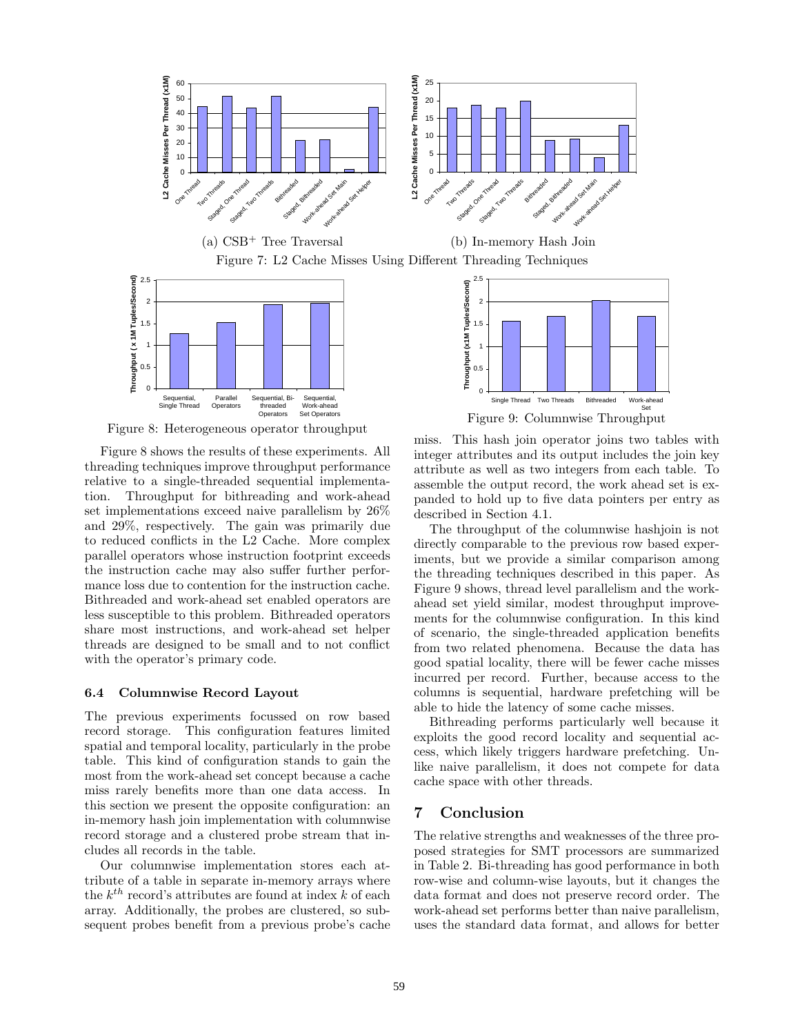

Figure 8: Heterogeneous operator throughput

Sequential, Bithreaded Operators

**Sequential** Work-ahead Set Operators

Parallel **Operators** 

**Sequential** Single Thread

Figure 8 shows the results of these experiments. All threading techniques improve throughput performance relative to a single-threaded sequential implementation. Throughput for bithreading and work-ahead set implementations exceed naive parallelism by 26% and 29%, respectively. The gain was primarily due to reduced conflicts in the L2 Cache. More complex parallel operators whose instruction footprint exceeds the instruction cache may also suffer further performance loss due to contention for the instruction cache. Bithreaded and work-ahead set enabled operators are less susceptible to this problem. Bithreaded operators share most instructions, and work-ahead set helper threads are designed to be small and to not conflict with the operator's primary code.

#### **6.4 Columnwise Record Layout**

The previous experiments focussed on row based record storage. This configuration features limited spatial and temporal locality, particularly in the probe table. This kind of configuration stands to gain the most from the work-ahead set concept because a cache miss rarely benefits more than one data access. In this section we present the opposite configuration: an in-memory hash join implementation with columnwise record storage and a clustered probe stream that includes all records in the table.

Our columnwise implementation stores each attribute of a table in separate in-memory arrays where the *kth* record's attributes are found at index *k* of each array. Additionally, the probes are clustered, so subsequent probes benefit from a previous probe's cache



Work-ahead

Single Thread Two Threads Bithreaded

0

miss. This hash join operator joins two tables with integer attributes and its output includes the join key attribute as well as two integers from each table. To assemble the output record, the work ahead set is expanded to hold up to five data pointers per entry as described in Section 4.1.

The throughput of the columnwise hashjoin is not directly comparable to the previous row based experiments, but we provide a similar comparison among the threading techniques described in this paper. As Figure 9 shows, thread level parallelism and the workahead set yield similar, modest throughput improvements for the columnwise configuration. In this kind of scenario, the single-threaded application benefits from two related phenomena. Because the data has good spatial locality, there will be fewer cache misses incurred per record. Further, because access to the columns is sequential, hardware prefetching will be able to hide the latency of some cache misses.

Bithreading performs particularly well because it exploits the good record locality and sequential access, which likely triggers hardware prefetching. Unlike naive parallelism, it does not compete for data cache space with other threads.

# **7 Conclusion**

The relative strengths and weaknesses of the three proposed strategies for SMT processors are summarized in Table 2. Bi-threading has good performance in both row-wise and column-wise layouts, but it changes the data format and does not preserve record order. The work-ahead set performs better than naive parallelism, uses the standard data format, and allows for better